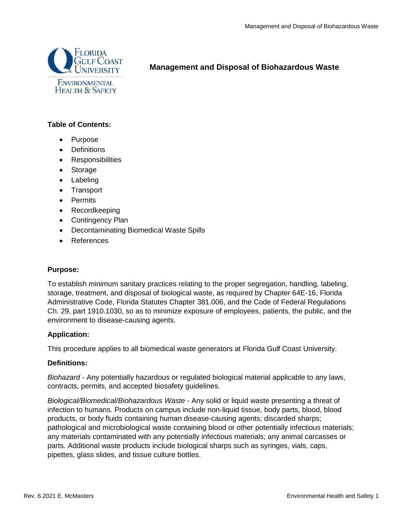

# **Management and Disposal of Biohazardous Waste**

### **Table of Contents:**

- Purpose
- Definitions
- Responsibilities
- Storage
- Labeling
- Transport
- Permits
- Recordkeeping
- Contingency Plan
- Decontaminating Biomedical Waste Spills
- References

#### **Purpose:**

To establish minimum sanitary practices relating to the proper segregation, handling, labeling, storage, treatment, and disposal of biological waste, as required by Chapter 64E-16, Florida Administrative Code, Florida Statutes Chapter 381.006, and the Code of Federal Regulations Ch. 29, part 1910.1030, so as to minimize exposure of employees, patients, the public, and the environment to disease-causing agents.

#### **Application:**

This procedure applies to all biomedical waste generators at Florida Gulf Coast University.

#### **Definitions:**

*Biohazard* - Any potentially hazardous or regulated biological material applicable to any laws, contracts, permits, and accepted biosafety guidelines.

*Biological/Biomedical/Biohazardous Waste* - Any solid or liquid waste presenting a threat of infection to humans. Products on campus include non-liquid tissue, body parts, blood, blood products, or body fluids containing human disease-causing agents; discarded sharps; pathological and microbiological waste containing blood or other potentially infectious materials; any materials contaminated with any potentially infectious materials; any animal carcasses or parts. Additional waste products include biological sharps such as syringes, vials, caps, pipettes, glass slides, and tissue culture bottles.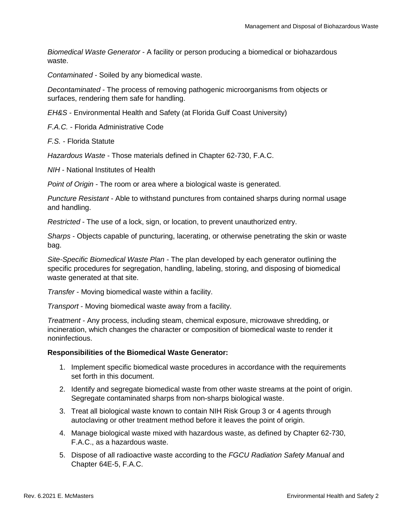*Biomedical Waste Generator* - A facility or person producing a biomedical or biohazardous waste.

*Contaminated* - Soiled by any biomedical waste.

*Decontaminated* - The process of removing pathogenic microorganisms from objects or surfaces, rendering them safe for handling.

*EH&S* - Environmental Health and Safety (at Florida Gulf Coast University)

*F.A.C.* - Florida Administrative Code

*F.S.* - Florida Statute

*Hazardous Waste* - Those materials defined in Chapter 62-730, F.A.C.

*NIH* - National Institutes of Health

*Point of Origin* - The room or area where a biological waste is generated.

*Puncture Resistant* - Able to withstand punctures from contained sharps during normal usage and handling.

*Restricted* - The use of a lock, sign, or location, to prevent unauthorized entry.

*Sharps* - Objects capable of puncturing, lacerating, or otherwise penetrating the skin or waste bag.

*Site-Specific Biomedical Waste Plan* - The plan developed by each generator outlining the specific procedures for segregation, handling, labeling, storing, and disposing of biomedical waste generated at that site.

*Transfer* - Moving biomedical waste within a facility.

*Transport* - Moving biomedical waste away from a facility.

*Treatment* - Any process, including steam, chemical exposure, microwave shredding, or incineration, which changes the character or composition of biomedical waste to render it noninfectious.

#### **Responsibilities of the Biomedical Waste Generator:**

- 1. Implement specific biomedical waste procedures in accordance with the requirements set forth in this document.
- 2. Identify and segregate biomedical waste from other waste streams at the point of origin. Segregate contaminated sharps from non-sharps biological waste.
- 3. Treat all biological waste known to contain NIH Risk Group 3 or 4 agents through autoclaving or other treatment method before it leaves the point of origin.
- 4. Manage biological waste mixed with hazardous waste, as defined by Chapter 62-730, F.A.C., as a hazardous waste.
- 5. Dispose of all radioactive waste according to the *FGCU Radiation Safety Manual* and Chapter 64E-5, F.A.C.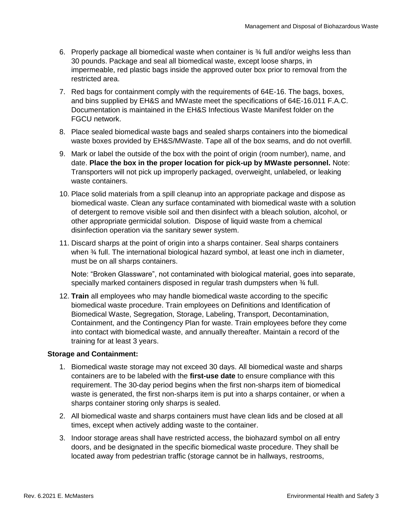- 6. Properly package all biomedical waste when container is ¾ full and/or weighs less than 30 pounds. Package and seal all biomedical waste, except loose sharps, in impermeable, red plastic bags inside the approved outer box prior to removal from the restricted area.
- 7. Red bags for containment comply with the requirements of 64E-16. The bags, boxes, and bins supplied by EH&S and MWaste meet the specifications of 64E-16.011 F.A.C. Documentation is maintained in the EH&S Infectious Waste Manifest folder on the FGCU network.
- 8. Place sealed biomedical waste bags and sealed sharps containers into the biomedical waste boxes provided by EH&S/MWaste. Tape all of the box seams, and do not overfill.
- 9. Mark or label the outside of the box with the point of origin (room number), name, and date. **Place the box in the proper location for pick-up by MWaste personnel.** Note: Transporters will not pick up improperly packaged, overweight, unlabeled, or leaking waste containers.
- 10. Place solid materials from a spill cleanup into an appropriate package and dispose as biomedical waste. Clean any surface contaminated with biomedical waste with a solution of detergent to remove visible soil and then disinfect with a bleach solution, alcohol, or other appropriate germicidal solution. Dispose of liquid waste from a chemical disinfection operation via the sanitary sewer system.
- 11. Discard sharps at the point of origin into a sharps container. Seal sharps containers when ¾ full. The international biological hazard symbol, at least one inch in diameter, must be on all sharps containers.

Note: "Broken Glassware", not contaminated with biological material, goes into separate, specially marked containers disposed in regular trash dumpsters when 34 full.

12. **Train** all employees who may handle biomedical waste according to the specific biomedical waste procedure. Train employees on Definitions and Identification of Biomedical Waste, Segregation, Storage, Labeling, Transport, Decontamination, Containment, and the Contingency Plan for waste. Train employees before they come into contact with biomedical waste, and annually thereafter. Maintain a record of the training for at least 3 years.

## **Storage and Containment:**

- 1. Biomedical waste storage may not exceed 30 days. All biomedical waste and sharps containers are to be labeled with the **first-use date** to ensure compliance with this requirement. The 30-day period begins when the first non-sharps item of biomedical waste is generated, the first non-sharps item is put into a sharps container, or when a sharps container storing only sharps is sealed.
- 2. All biomedical waste and sharps containers must have clean lids and be closed at all times, except when actively adding waste to the container.
- 3. Indoor storage areas shall have restricted access, the biohazard symbol on all entry doors, and be designated in the specific biomedical waste procedure. They shall be located away from pedestrian traffic (storage cannot be in hallways, restrooms,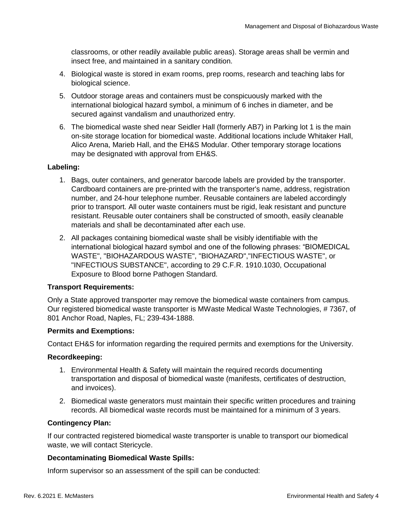classrooms, or other readily available public areas). Storage areas shall be vermin and insect free, and maintained in a sanitary condition.

- 4. Biological waste is stored in exam rooms, prep rooms, research and teaching labs for biological science.
- 5. Outdoor storage areas and containers must be conspicuously marked with the international biological hazard symbol, a minimum of 6 inches in diameter, and be secured against vandalism and unauthorized entry.
- 6. The biomedical waste shed near Seidler Hall (formerly AB7) in Parking lot 1 is the main on-site storage location for biomedical waste. Additional locations include Whitaker Hall, Alico Arena, Marieb Hall, and the EH&S Modular. Other temporary storage locations may be designated with approval from EH&S.

#### **Labeling:**

- 1. Bags, outer containers, and generator barcode labels are provided by the transporter. Cardboard containers are pre-printed with the transporter's name, address, registration number, and 24-hour telephone number. Reusable containers are labeled accordingly prior to transport. All outer waste containers must be rigid, leak resistant and puncture resistant. Reusable outer containers shall be constructed of smooth, easily cleanable materials and shall be decontaminated after each use.
- 2. All packages containing biomedical waste shall be visibly identifiable with the international biological hazard symbol and one of the following phrases: "BIOMEDICAL WASTE", "BIOHAZARDOUS WASTE", "BIOHAZARD","INFECTIOUS WASTE", or "INFECTIOUS SUBSTANCE", according to 29 C.F.R. 1910.1030, Occupational Exposure to Blood borne Pathogen Standard.

#### **Transport Requirements:**

Only a State approved transporter may remove the biomedical waste containers from campus. Our registered biomedical waste transporter is MWaste Medical Waste Technologies, # 7367, of 801 Anchor Road, Naples, FL; 239-434-1888.

#### **Permits and Exemptions:**

Contact EH&S for information regarding the required permits and exemptions for the University.

#### **Recordkeeping:**

- 1. Environmental Health & Safety will maintain the required records documenting transportation and disposal of biomedical waste (manifests, certificates of destruction, and invoices).
- 2. Biomedical waste generators must maintain their specific written procedures and training records. All biomedical waste records must be maintained for a minimum of 3 years.

#### **Contingency Plan:**

If our contracted registered biomedical waste transporter is unable to transport our biomedical waste, we will contact Stericycle.

#### **Decontaminating Biomedical Waste Spills:**

Inform supervisor so an assessment of the spill can be conducted: